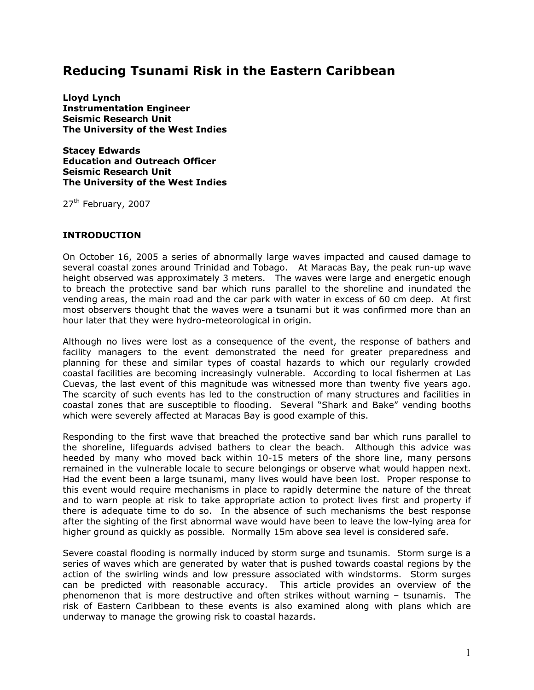# **Reducing Tsunami Risk in the Eastern Caribbean**

**Lloyd Lynch Instrumentation Engineer Seismic Research Unit The University of the West Indies** 

**Stacey Edwards Education and Outreach Officer Seismic Research Unit The University of the West Indies** 

27<sup>th</sup> February, 2007

## **INTRODUCTION**

On October 16, 2005 a series of abnormally large waves impacted and caused damage to several coastal zones around Trinidad and Tobago. At Maracas Bay, the peak run-up wave height observed was approximately 3 meters. The waves were large and energetic enough to breach the protective sand bar which runs parallel to the shoreline and inundated the vending areas, the main road and the car park with water in excess of 60 cm deep. At first most observers thought that the waves were a tsunami but it was confirmed more than an hour later that they were hydro-meteorological in origin.

Although no lives were lost as a consequence of the event, the response of bathers and facility managers to the event demonstrated the need for greater preparedness and planning for these and similar types of coastal hazards to which our regularly crowded coastal facilities are becoming increasingly vulnerable. According to local fishermen at Las Cuevas, the last event of this magnitude was witnessed more than twenty five years ago. The scarcity of such events has led to the construction of many structures and facilities in coastal zones that are susceptible to flooding. Several "Shark and Bake" vending booths which were severely affected at Maracas Bay is good example of this.

Responding to the first wave that breached the protective sand bar which runs parallel to the shoreline, lifeguards advised bathers to clear the beach. Although this advice was heeded by many who moved back within 10-15 meters of the shore line, many persons remained in the vulnerable locale to secure belongings or observe what would happen next. Had the event been a large tsunami, many lives would have been lost. Proper response to this event would require mechanisms in place to rapidly determine the nature of the threat and to warn people at risk to take appropriate action to protect lives first and property if there is adequate time to do so. In the absence of such mechanisms the best response after the sighting of the first abnormal wave would have been to leave the low-lying area for higher ground as quickly as possible. Normally 15m above sea level is considered safe.

Severe coastal flooding is normally induced by storm surge and tsunamis. Storm surge is a series of waves which are generated by water that is pushed towards coastal regions by the action of the swirling winds and low pressure associated with windstorms. Storm surges can be predicted with reasonable accuracy. This article provides an overview of the phenomenon that is more destructive and often strikes without warning – tsunamis. The risk of Eastern Caribbean to these events is also examined along with plans which are underway to manage the growing risk to coastal hazards.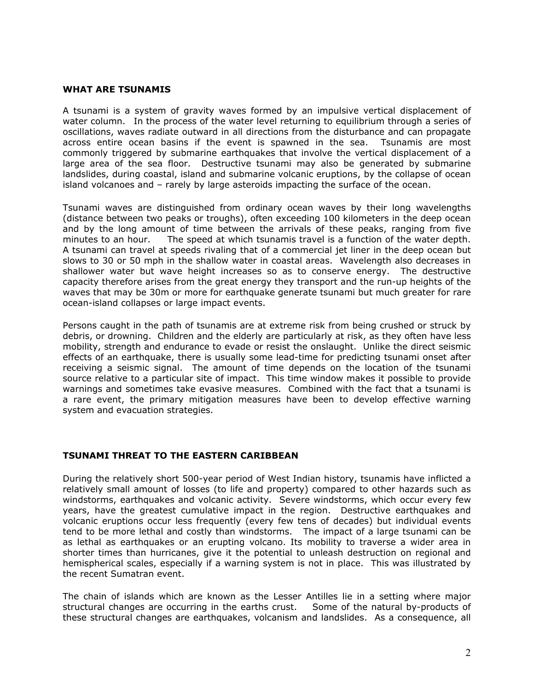#### **WHAT ARE TSUNAMIS**

A tsunami is a system of gravity waves formed by an impulsive vertical displacement of water column. In the process of the water level returning to equilibrium through a series of oscillations, waves radiate outward in all directions from the disturbance and can propagate across entire ocean basins if the event is spawned in the sea. Tsunamis are most commonly triggered by submarine earthquakes that involve the vertical displacement of a large area of the sea floor. Destructive tsunami may also be generated by submarine landslides, during coastal, island and submarine volcanic eruptions, by the collapse of ocean island volcanoes and – rarely by large asteroids impacting the surface of the ocean.

Tsunami waves are distinguished from ordinary ocean waves by their long wavelengths (distance between two peaks or troughs), often exceeding 100 kilometers in the deep ocean and by the long amount of time between the arrivals of these peaks, ranging from five minutes to an hour. The speed at which tsunamis travel is a function of the water depth. A tsunami can travel at speeds rivaling that of a commercial jet liner in the deep ocean but slows to 30 or 50 mph in the shallow water in coastal areas. Wavelength also decreases in shallower water but wave height increases so as to conserve energy. The destructive capacity therefore arises from the great energy they transport and the run-up heights of the waves that may be 30m or more for earthquake generate tsunami but much greater for rare ocean-island collapses or large impact events.

Persons caught in the path of tsunamis are at extreme risk from being crushed or struck by debris, or drowning. Children and the elderly are particularly at risk, as they often have less mobility, strength and endurance to evade or resist the onslaught. Unlike the direct seismic effects of an earthquake, there is usually some lead-time for predicting tsunami onset after receiving a seismic signal. The amount of time depends on the location of the tsunami source relative to a particular site of impact. This time window makes it possible to provide warnings and sometimes take evasive measures. Combined with the fact that a tsunami is a rare event, the primary mitigation measures have been to develop effective warning system and evacuation strategies.

### **TSUNAMI THREAT TO THE EASTERN CARIBBEAN**

During the relatively short 500-year period of West Indian history, tsunamis have inflicted a relatively small amount of losses (to life and property) compared to other hazards such as windstorms, earthquakes and volcanic activity. Severe windstorms, which occur every few years, have the greatest cumulative impact in the region. Destructive earthquakes and volcanic eruptions occur less frequently (every few tens of decades) but individual events tend to be more lethal and costly than windstorms. The impact of a large tsunami can be as lethal as earthquakes or an erupting volcano. Its mobility to traverse a wider area in shorter times than hurricanes, give it the potential to unleash destruction on regional and hemispherical scales, especially if a warning system is not in place. This was illustrated by the recent Sumatran event.

The chain of islands which are known as the Lesser Antilles lie in a setting where major structural changes are occurring in the earths crust. Some of the natural by-products of these structural changes are earthquakes, volcanism and landslides. As a consequence, all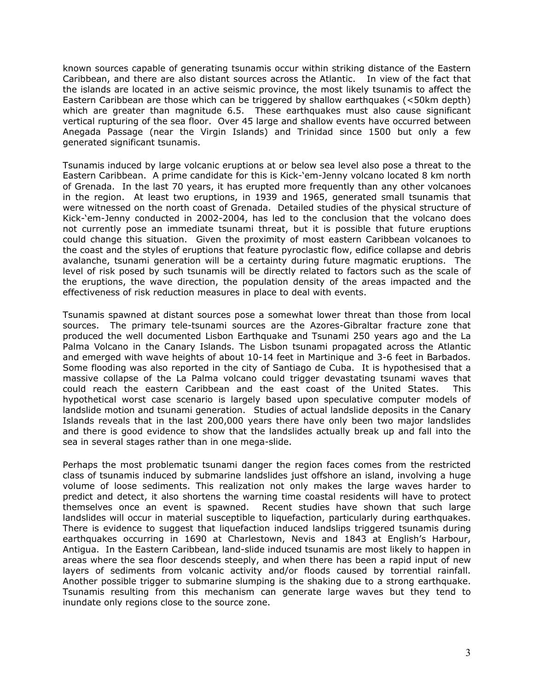known sources capable of generating tsunamis occur within striking distance of the Eastern Caribbean, and there are also distant sources across the Atlantic. In view of the fact that the islands are located in an active seismic province, the most likely tsunamis to affect the Eastern Caribbean are those which can be triggered by shallow earthquakes (<50km depth) which are greater than magnitude 6.5. These earthquakes must also cause significant vertical rupturing of the sea floor. Over 45 large and shallow events have occurred between Anegada Passage (near the Virgin Islands) and Trinidad since 1500 but only a few generated significant tsunamis.

Tsunamis induced by large volcanic eruptions at or below sea level also pose a threat to the Eastern Caribbean. A prime candidate for this is Kick-'em-Jenny volcano located 8 km north of Grenada. In the last 70 years, it has erupted more frequently than any other volcanoes in the region. At least two eruptions, in 1939 and 1965, generated small tsunamis that were witnessed on the north coast of Grenada. Detailed studies of the physical structure of Kick-'em-Jenny conducted in 2002-2004, has led to the conclusion that the volcano does not currently pose an immediate tsunami threat, but it is possible that future eruptions could change this situation. Given the proximity of most eastern Caribbean volcanoes to the coast and the styles of eruptions that feature pyroclastic flow, edifice collapse and debris avalanche, tsunami generation will be a certainty during future magmatic eruptions. The level of risk posed by such tsunamis will be directly related to factors such as the scale of the eruptions, the wave direction, the population density of the areas impacted and the effectiveness of risk reduction measures in place to deal with events.

Tsunamis spawned at distant sources pose a somewhat lower threat than those from local sources. The primary tele-tsunami sources are the Azores-Gibraltar fracture zone that produced the well documented Lisbon Earthquake and Tsunami 250 years ago and the La Palma Volcano in the Canary Islands. The Lisbon tsunami propagated across the Atlantic and emerged with wave heights of about 10-14 feet in Martinique and 3-6 feet in Barbados. Some flooding was also reported in the city of Santiago de Cuba. It is hypothesised that a massive collapse of the La Palma volcano could trigger devastating tsunami waves that could reach the eastern Caribbean and the east coast of the United States. This hypothetical worst case scenario is largely based upon speculative computer models of landslide motion and tsunami generation. Studies of actual landslide deposits in the Canary Islands reveals that in the last 200,000 years there have only been two major landslides and there is good evidence to show that the landslides actually break up and fall into the sea in several stages rather than in one mega-slide.

Perhaps the most problematic tsunami danger the region faces comes from the restricted class of tsunamis induced by submarine landslides just offshore an island, involving a huge volume of loose sediments. This realization not only makes the large waves harder to predict and detect, it also shortens the warning time coastal residents will have to protect themselves once an event is spawned. Recent studies have shown that such large landslides will occur in material susceptible to liquefaction, particularly during earthquakes. There is evidence to suggest that liquefaction induced landslips triggered tsunamis during earthquakes occurring in 1690 at Charlestown, Nevis and 1843 at English's Harbour, Antigua. In the Eastern Caribbean, land-slide induced tsunamis are most likely to happen in areas where the sea floor descends steeply, and when there has been a rapid input of new layers of sediments from volcanic activity and/or floods caused by torrential rainfall. Another possible trigger to submarine slumping is the shaking due to a strong earthquake. Tsunamis resulting from this mechanism can generate large waves but they tend to inundate only regions close to the source zone.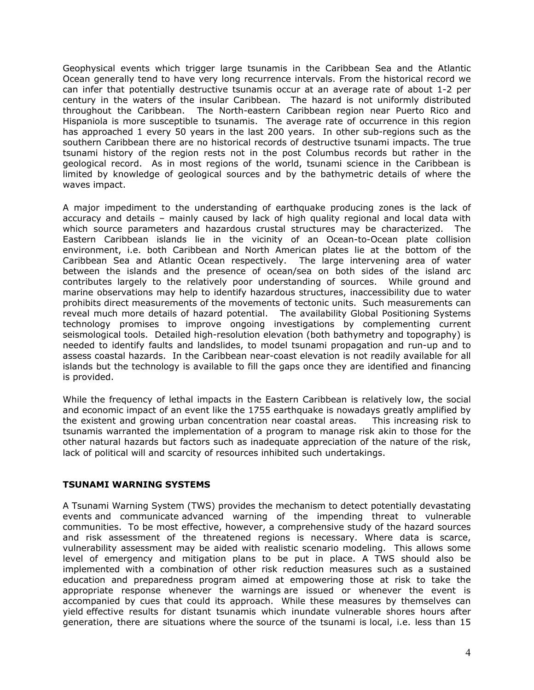Geophysical events which trigger large tsunamis in the Caribbean Sea and the Atlantic Ocean generally tend to have very long recurrence intervals. From the historical record we can infer that potentially destructive tsunamis occur at an average rate of about 1-2 per century in the waters of the insular Caribbean. The hazard is not uniformly distributed throughout the Caribbean. The North-eastern Caribbean region near Puerto Rico and Hispaniola is more susceptible to tsunamis. The average rate of occurrence in this region has approached 1 every 50 years in the last 200 years. In other sub-regions such as the southern Caribbean there are no historical records of destructive tsunami impacts. The true tsunami history of the region rests not in the post Columbus records but rather in the geological record. As in most regions of the world, tsunami science in the Caribbean is limited by knowledge of geological sources and by the bathymetric details of where the waves impact.

A major impediment to the understanding of earthquake producing zones is the lack of accuracy and details – mainly caused by lack of high quality regional and local data with which source parameters and hazardous crustal structures may be characterized. The Eastern Caribbean islands lie in the vicinity of an Ocean-to-Ocean plate collision environment, i.e. both Caribbean and North American plates lie at the bottom of the Caribbean Sea and Atlantic Ocean respectively. The large intervening area of water between the islands and the presence of ocean/sea on both sides of the island arc contributes largely to the relatively poor understanding of sources. While ground and marine observations may help to identify hazardous structures, inaccessibility due to water prohibits direct measurements of the movements of tectonic units. Such measurements can reveal much more details of hazard potential. The availability Global Positioning Systems technology promises to improve ongoing investigations by complementing current seismological tools. Detailed high-resolution elevation (both bathymetry and topography) is needed to identify faults and landslides, to model tsunami propagation and run-up and to assess coastal hazards. In the Caribbean near-coast elevation is not readily available for all islands but the technology is available to fill the gaps once they are identified and financing is provided.

While the frequency of lethal impacts in the Eastern Caribbean is relatively low, the social and economic impact of an event like the 1755 earthquake is nowadays greatly amplified by the existent and growing urban concentration near coastal areas. This increasing risk to tsunamis warranted the implementation of a program to manage risk akin to those for the other natural hazards but factors such as inadequate appreciation of the nature of the risk, lack of political will and scarcity of resources inhibited such undertakings.

### **TSUNAMI WARNING SYSTEMS**

A Tsunami Warning System (TWS) provides the mechanism to detect potentially devastating events and communicate advanced warning of the impending threat to vulnerable communities. To be most effective, however, a comprehensive study of the hazard sources and risk assessment of the threatened regions is necessary. Where data is scarce, vulnerability assessment may be aided with realistic scenario modeling. This allows some level of emergency and mitigation plans to be put in place. A TWS should also be implemented with a combination of other risk reduction measures such as a sustained education and preparedness program aimed at empowering those at risk to take the appropriate response whenever the warnings are issued or whenever the event is accompanied by cues that could its approach. While these measures by themselves can yield effective results for distant tsunamis which inundate vulnerable shores hours after generation, there are situations where the source of the tsunami is local, i.e. less than 15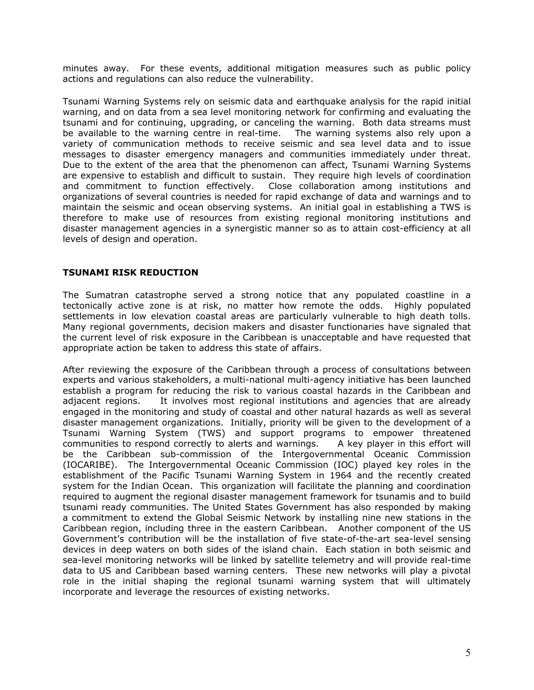minutes away. For these events, additional mitigation measures such as public policy actions and regulations can also reduce the vulnerability.

Tsunami Warning Systems rely on seismic data and earthquake analysis for the rapid initial warning, and on data from a sea level monitoring network for confirming and evaluating the tsunami and for continuing, upgrading, or canceling the warning. Both data streams must be available to the warning centre in real-time. The warning systems also rely upon a variety of communication methods to receive seismic and sea level data and to issue messages to disaster emergency managers and communities immediately under threat. Due to the extent of the area that the phenomenon can affect, Tsunami Warning Systems are expensive to establish and difficult to sustain. They require high levels of coordination and commitment to function effectively. Close collaboration among institutions and organizations of several countries is needed for rapid exchange of data and warnings and to maintain the seismic and ocean observing systems. An initial goal in establishing a TWS is therefore to make use of resources from existing regional monitoring institutions and disaster management agencies in a synergistic manner so as to attain cost-efficiency at all levels of design and operation.

### **TSUNAMI RISK REDUCTION**

The Sumatran catastrophe served a strong notice that any populated coastline in a tectonically active zone is at risk, no matter how remote the odds. Highly populated settlements in low elevation coastal areas are particularly vulnerable to high death tolls. Many regional governments, decision makers and disaster functionaries have signaled that the current level of risk exposure in the Caribbean is unacceptable and have requested that appropriate action be taken to address this state of affairs.

After reviewing the exposure of the Caribbean through a process of consultations between experts and various stakeholders, a multi-national multi-agency initiative has been launched establish a program for reducing the risk to various coastal hazards in the Caribbean and adjacent regions. It involves most regional institutions and agencies that are already engaged in the monitoring and study of coastal and other natural hazards as well as several disaster management organizations. Initially, priority will be given to the development of a Tsunami Warning System (TWS) and support programs to empower threatened communities to respond correctly to alerts and warnings. A key player in this effort will be the Caribbean sub-commission of the Intergovernmental Oceanic Commission (IOCARIBE). The Intergovernmental Oceanic Commission (IOC) played key roles in the establishment of the Pacific Tsunami Warning System in 1964 and the recently created system for the Indian Ocean. This organization will facilitate the planning and coordination required to augment the regional disaster management framework for tsunamis and to build tsunami ready communities. The United States Government has also responded by making a commitment to extend the Global Seismic Network by installing nine new stations in the Caribbean region, including three in the eastern Caribbean. Another component of the US Government's contribution will be the installation of five state-of-the-art sea-level sensing devices in deep waters on both sides of the island chain. Each station in both seismic and sea-level monitoring networks will be linked by satellite telemetry and will provide real-time data to US and Caribbean based warning centers. These new networks will play a pivotal role in the initial shaping the regional tsunami warning system that will ultimately incorporate and leverage the resources of existing networks.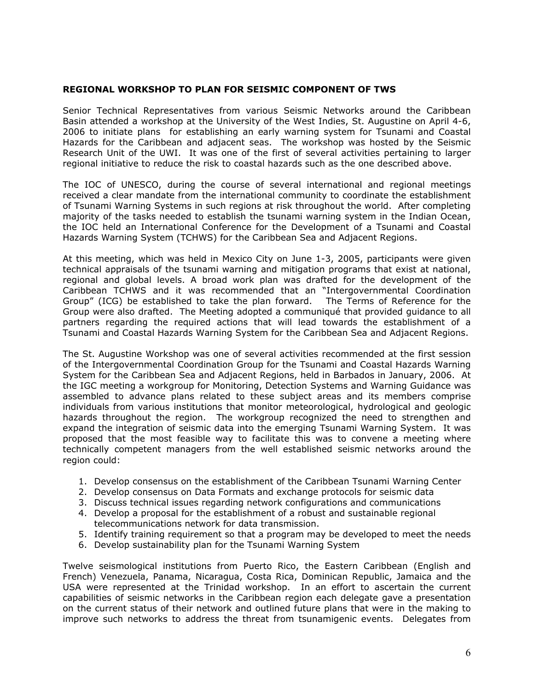### **REGIONAL WORKSHOP TO PLAN FOR SEISMIC COMPONENT OF TWS**

Senior Technical Representatives from various Seismic Networks around the Caribbean Basin attended a workshop at the University of the West Indies, St. Augustine on April 4-6, 2006 to initiate plans for establishing an early warning system for Tsunami and Coastal Hazards for the Caribbean and adjacent seas. The workshop was hosted by the Seismic Research Unit of the UWI. It was one of the first of several activities pertaining to larger regional initiative to reduce the risk to coastal hazards such as the one described above.

The IOC of UNESCO, during the course of several international and regional meetings received a clear mandate from the international community to coordinate the establishment of Tsunami Warning Systems in such regions at risk throughout the world. After completing majority of the tasks needed to establish the tsunami warning system in the Indian Ocean, the IOC held an International Conference for the Development of a Tsunami and Coastal Hazards Warning System (TCHWS) for the Caribbean Sea and Adjacent Regions.

At this meeting, which was held in Mexico City on June 1-3, 2005, participants were given technical appraisals of the tsunami warning and mitigation programs that exist at national, regional and global levels. A broad work plan was drafted for the development of the Caribbean TCHWS and it was recommended that an "Intergovernmental Coordination Group" (ICG) be established to take the plan forward. The Terms of Reference for the Group were also drafted. The Meeting adopted a communiqué that provided guidance to all partners regarding the required actions that will lead towards the establishment of a Tsunami and Coastal Hazards Warning System for the Caribbean Sea and Adjacent Regions.

The St. Augustine Workshop was one of several activities recommended at the first session of the Intergovernmental Coordination Group for the Tsunami and Coastal Hazards Warning System for the Caribbean Sea and Adjacent Regions, held in Barbados in January, 2006. At the IGC meeting a workgroup for Monitoring, Detection Systems and Warning Guidance was assembled to advance plans related to these subject areas and its members comprise individuals from various institutions that monitor meteorological, hydrological and geologic hazards throughout the region. The workgroup recognized the need to strengthen and expand the integration of seismic data into the emerging Tsunami Warning System. It was proposed that the most feasible way to facilitate this was to convene a meeting where technically competent managers from the well established seismic networks around the region could:

- 1. Develop consensus on the establishment of the Caribbean Tsunami Warning Center
- 2. Develop consensus on Data Formats and exchange protocols for seismic data
- 3. Discuss technical issues regarding network configurations and communications
- 4. Develop a proposal for the establishment of a robust and sustainable regional telecommunications network for data transmission.
- 5. Identify training requirement so that a program may be developed to meet the needs
- 6. Develop sustainability plan for the Tsunami Warning System

Twelve seismological institutions from Puerto Rico, the Eastern Caribbean (English and French) Venezuela, Panama, Nicaragua, Costa Rica, Dominican Republic, Jamaica and the USA were represented at the Trinidad workshop. In an effort to ascertain the current capabilities of seismic networks in the Caribbean region each delegate gave a presentation on the current status of their network and outlined future plans that were in the making to improve such networks to address the threat from tsunamigenic events. Delegates from